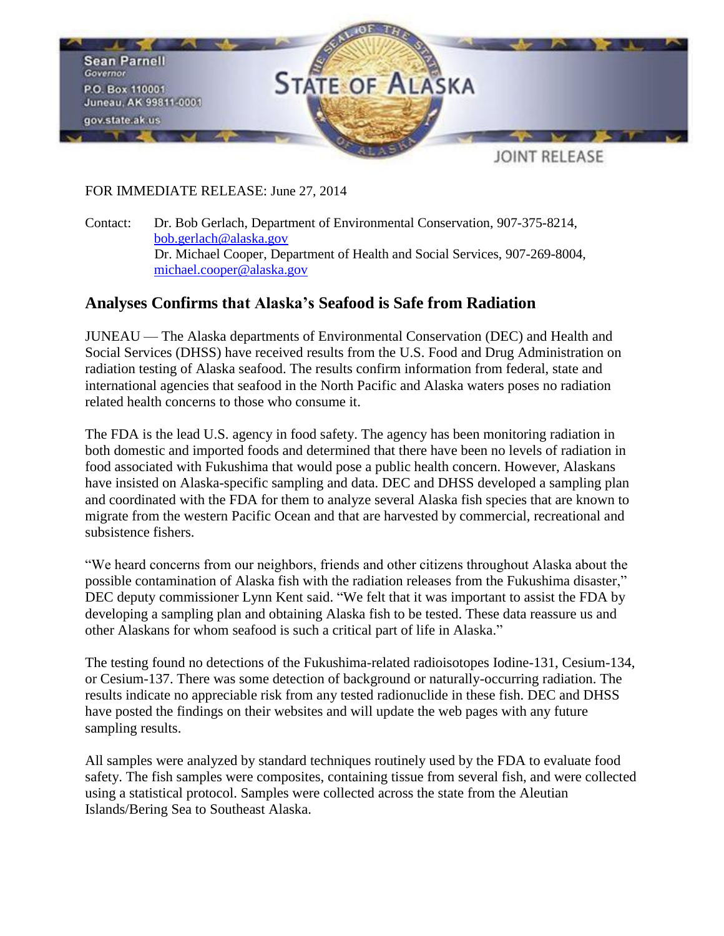

## FOR IMMEDIATE RELEASE: June 27, 2014

Contact: Dr. Bob Gerlach, Department of Environmental Conservation, 907-375-8214, [bob.gerlach@alaska.gov](mailto:bob.gerlach@alaska.gov) Dr. Michael Cooper, Department of Health and Social Services, 907-269-8004, [michael.cooper@alaska.gov](mailto:michael.cooper@alaska.gov)

## **Analyses Confirms that Alaska's Seafood is Safe from Radiation**

JUNEAU — The Alaska departments of Environmental Conservation (DEC) and Health and Social Services (DHSS) have received results from the U.S. Food and Drug Administration on radiation testing of Alaska seafood. The results confirm information from federal, state and international agencies that seafood in the North Pacific and Alaska waters poses no radiation related health concerns to those who consume it.

The FDA is the lead U.S. agency in food safety. The agency has been monitoring radiation in both domestic and imported foods and determined that there have been no levels of radiation in food associated with Fukushima that would pose a public health concern. However, Alaskans have insisted on Alaska-specific sampling and data. DEC and DHSS developed a sampling plan and coordinated with the FDA for them to analyze several Alaska fish species that are known to migrate from the western Pacific Ocean and that are harvested by commercial, recreational and subsistence fishers.

"We heard concerns from our neighbors, friends and other citizens throughout Alaska about the possible contamination of Alaska fish with the radiation releases from the Fukushima disaster," DEC deputy commissioner Lynn Kent said. "We felt that it was important to assist the FDA by developing a sampling plan and obtaining Alaska fish to be tested. These data reassure us and other Alaskans for whom seafood is such a critical part of life in Alaska."

The testing found no detections of the Fukushima-related radioisotopes Iodine-131, Cesium-134, or Cesium-137. There was some detection of background or naturally-occurring radiation. The results indicate no appreciable risk from any tested radionuclide in these fish. DEC and DHSS have posted the findings on their websites and will update the web pages with any future sampling results.

All samples were analyzed by standard techniques routinely used by the FDA to evaluate food safety. The fish samples were composites, containing tissue from several fish, and were collected using a statistical protocol. Samples were collected across the state from the Aleutian Islands/Bering Sea to Southeast Alaska.